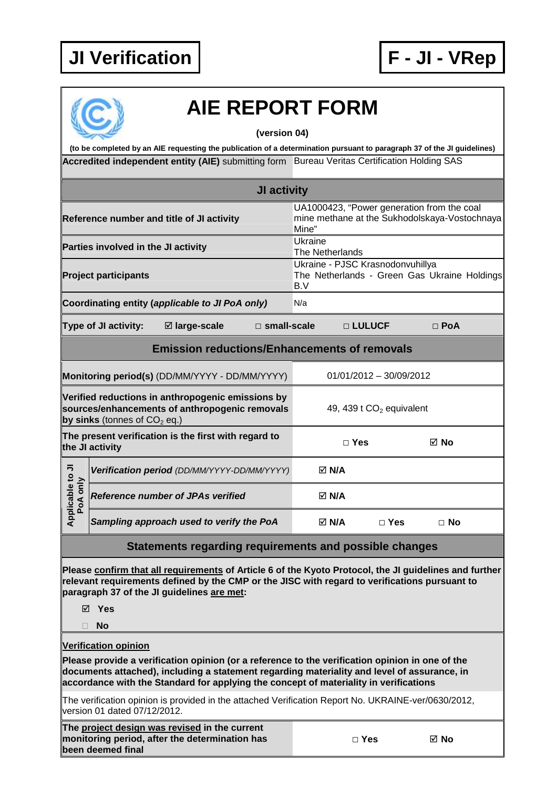



## **AIE REPORT FORM**

**(version 04)** 

Accredited independent entity (AIE) submitting form Bureau Veritas Certification Holding SAS **(to be completed by an AIE requesting the publication of a determination pursuant to paragraph 37 of the JI guidelines)** 

|                                                                                                                                       |                                     |                                                                                                        | JI activity                |                                                                                         |          |                         |                                                                                             |  |
|---------------------------------------------------------------------------------------------------------------------------------------|-------------------------------------|--------------------------------------------------------------------------------------------------------|----------------------------|-----------------------------------------------------------------------------------------|----------|-------------------------|---------------------------------------------------------------------------------------------|--|
|                                                                                                                                       |                                     | Reference number and title of JI activity                                                              |                            | Mine"                                                                                   |          |                         | UA1000423, "Power generation from the coal<br>mine methane at the Sukhodolskaya-Vostochnaya |  |
|                                                                                                                                       | Parties involved in the JI activity |                                                                                                        |                            | Ukraine<br>The Netherlands                                                              |          |                         |                                                                                             |  |
| <b>Project participants</b>                                                                                                           |                                     |                                                                                                        |                            | Ukraine - PJSC Krasnodonvuhillya<br>The Netherlands - Green Gas Ukraine Holdings<br>B.V |          |                         |                                                                                             |  |
|                                                                                                                                       |                                     | Coordinating entity (applicable to JI PoA only)                                                        |                            | N/a                                                                                     |          |                         |                                                                                             |  |
|                                                                                                                                       | Type of JI activity:                | ⊠ large-scale                                                                                          | $\square$ small-scale      |                                                                                         | □ LULUCF |                         | $\Box$ PoA                                                                                  |  |
|                                                                                                                                       |                                     | <b>Emission reductions/Enhancements of removals</b>                                                    |                            |                                                                                         |          |                         |                                                                                             |  |
|                                                                                                                                       |                                     | Monitoring period(s) (DD/MM/YYYY - DD/MM/YYYY)                                                         |                            |                                                                                         |          | 01/01/2012 - 30/09/2012 |                                                                                             |  |
| Verified reductions in anthropogenic emissions by<br>sources/enhancements of anthropogenic removals<br>by sinks (tonnes of $CO2$ eq.) |                                     |                                                                                                        | 49, 439 t $CO2$ equivalent |                                                                                         |          |                         |                                                                                             |  |
| The present verification is the first with regard to<br>the JI activity                                                               |                                     |                                                                                                        |                            | $\Box$ Yes                                                                              |          | ⊠ No                    |                                                                                             |  |
|                                                                                                                                       |                                     | Verification period (DD/MM/YYYY-DD/MM/YYYY)                                                            |                            | $\boxtimes$ N/A                                                                         |          |                         |                                                                                             |  |
| Applicable to JI<br>PoA only                                                                                                          |                                     | Reference number of JPAs verified                                                                      |                            | $\boxtimes$ N/A                                                                         |          |                         |                                                                                             |  |
|                                                                                                                                       |                                     | Sampling approach used to verify the PoA                                                               |                            | $\boxtimes$ N/A                                                                         |          | $\Box$ Yes              | $\Box$ No                                                                                   |  |
|                                                                                                                                       |                                     | Statements regarding requirements and possible changes                                                 |                            |                                                                                         |          |                         |                                                                                             |  |
|                                                                                                                                       |                                     | Please confirm that all requirements of Article 6 of the Kyoto Protocol, the JI guidelines and further |                            |                                                                                         |          |                         |                                                                                             |  |

**relevant requirements defined by the CMP or the JISC with regard to verifications pursuant to paragraph 37 of the JI guidelines are met:** 

**Yes** 

**No** 

**Verification opinion**

**Please provide a verification opinion (or a reference to the verification opinion in one of the documents attached), including a statement regarding materiality and level of assurance, in accordance with the Standard for applying the concept of materiality in verifications** 

The verification opinion is provided in the attached Verification Report No. UKRAINE-ver/0630/2012, version 01 dated 07/12/2012.

**The project design was revised in the current monitoring period, after the determination has been deemed final** 

| ×<br>۰.<br>v<br>w |  |
|-------------------|--|
|-------------------|--|

**□ Yes No**